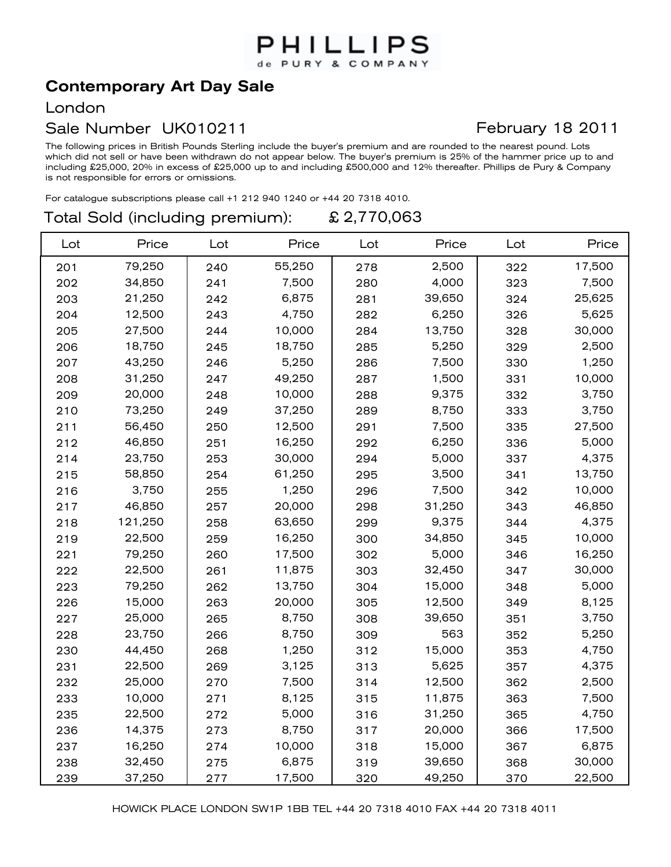## PHILLIPS de PURY & COMPANY

# **Contemporary Art Day Sale**

#### London

### Sale Number UK010211

The following prices in British Pounds Sterling include the buyer's premium and are rounded to the nearest pound. Lots which did not sell or have been withdrawn do not appear below. The buyer's premium is 25% of the hammer price up to and including £25,000, 20% in excess of £25,000 up to and including £500,000 and 12% thereafter. Phillips de Pury & Company is not responsible for errors or omissions.

For catalogue subscriptions please call +1 212 940 1240 or +44 20 7318 4010.

#### Total Sold (including premium): £ 2,770,063

| Lot | Price   | Lot | Price  | Lot | Price  | Lot | Price  |
|-----|---------|-----|--------|-----|--------|-----|--------|
| 201 | 79,250  | 240 | 55,250 | 278 | 2,500  | 322 | 17,500 |
| 202 | 34,850  | 241 | 7,500  | 280 | 4,000  | 323 | 7,500  |
| 203 | 21,250  | 242 | 6,875  | 281 | 39,650 | 324 | 25,625 |
| 204 | 12,500  | 243 | 4,750  | 282 | 6,250  | 326 | 5,625  |
| 205 | 27,500  | 244 | 10,000 | 284 | 13,750 | 328 | 30,000 |
| 206 | 18,750  | 245 | 18,750 | 285 | 5,250  | 329 | 2,500  |
| 207 | 43,250  | 246 | 5,250  | 286 | 7,500  | 330 | 1,250  |
| 208 | 31,250  | 247 | 49,250 | 287 | 1,500  | 331 | 10,000 |
| 209 | 20,000  | 248 | 10,000 | 288 | 9,375  | 332 | 3,750  |
| 210 | 73,250  | 249 | 37,250 | 289 | 8,750  | 333 | 3,750  |
| 211 | 56,450  | 250 | 12,500 | 291 | 7,500  | 335 | 27,500 |
| 212 | 46,850  | 251 | 16,250 | 292 | 6,250  | 336 | 5,000  |
| 214 | 23,750  | 253 | 30,000 | 294 | 5,000  | 337 | 4,375  |
| 215 | 58,850  | 254 | 61,250 | 295 | 3,500  | 341 | 13,750 |
| 216 | 3,750   | 255 | 1,250  | 296 | 7,500  | 342 | 10,000 |
| 217 | 46,850  | 257 | 20,000 | 298 | 31,250 | 343 | 46,850 |
| 218 | 121,250 | 258 | 63,650 | 299 | 9,375  | 344 | 4,375  |
| 219 | 22,500  | 259 | 16,250 | 300 | 34,850 | 345 | 10,000 |
| 221 | 79,250  | 260 | 17,500 | 302 | 5,000  | 346 | 16,250 |
| 222 | 22,500  | 261 | 11,875 | 303 | 32,450 | 347 | 30,000 |
| 223 | 79,250  | 262 | 13,750 | 304 | 15,000 | 348 | 5,000  |
| 226 | 15,000  | 263 | 20,000 | 305 | 12,500 | 349 | 8,125  |
| 227 | 25,000  | 265 | 8,750  | 308 | 39,650 | 351 | 3,750  |
| 228 | 23,750  | 266 | 8,750  | 309 | 563    | 352 | 5,250  |
| 230 | 44,450  | 268 | 1,250  | 312 | 15,000 | 353 | 4,750  |
| 231 | 22,500  | 269 | 3,125  | 313 | 5,625  | 357 | 4,375  |
| 232 | 25,000  | 270 | 7,500  | 314 | 12,500 | 362 | 2,500  |
| 233 | 10,000  | 271 | 8,125  | 315 | 11,875 | 363 | 7,500  |
| 235 | 22,500  | 272 | 5,000  | 316 | 31,250 | 365 | 4,750  |
| 236 | 14,375  | 273 | 8,750  | 317 | 20,000 | 366 | 17,500 |
| 237 | 16,250  | 274 | 10,000 | 318 | 15,000 | 367 | 6,875  |
| 238 | 32,450  | 275 | 6,875  | 319 | 39,650 | 368 | 30,000 |
| 239 | 37,250  | 277 | 17,500 | 320 | 49,250 | 370 | 22,500 |

## February 18 2011